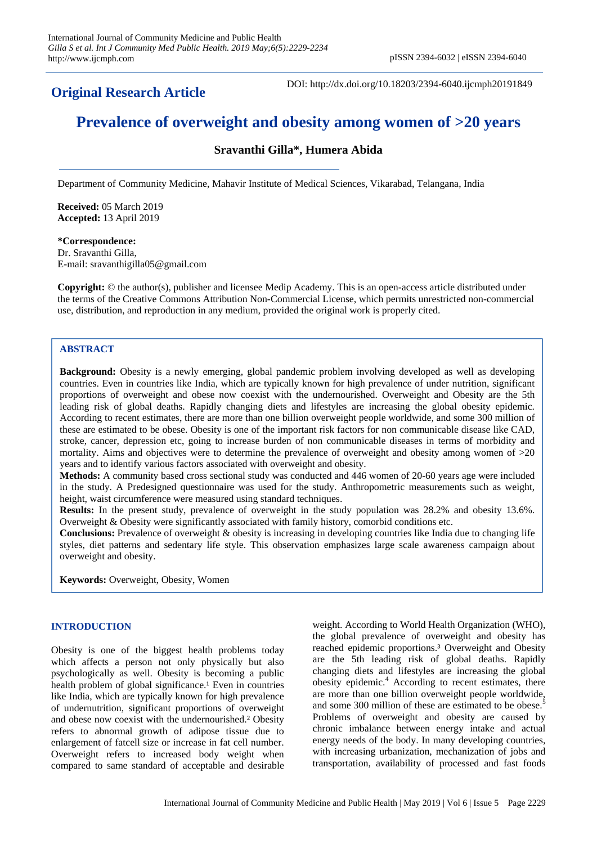**Original Research Article**

DOI: http://dx.doi.org/10.18203/2394-6040.ijcmph20191849

# **Prevalence of overweight and obesity among women of >20 years**

## **Sravanthi Gilla\*, Humera Abida**

Department of Community Medicine, Mahavir Institute of Medical Sciences, Vikarabad, Telangana, India

**Received:** 05 March 2019 **Accepted:** 13 April 2019

**\*Correspondence:** Dr. Sravanthi Gilla, E-mail: sravanthigilla05@gmail.com

**Copyright:** © the author(s), publisher and licensee Medip Academy. This is an open-access article distributed under the terms of the Creative Commons Attribution Non-Commercial License, which permits unrestricted non-commercial use, distribution, and reproduction in any medium, provided the original work is properly cited.

## **ABSTRACT**

**Background:** Obesity is a newly emerging, global pandemic problem involving developed as well as developing countries. Even in countries like India, which are typically known for high prevalence of under nutrition, significant proportions of overweight and obese now coexist with the undernourished. Overweight and Obesity are the 5th leading risk of global deaths. Rapidly changing diets and lifestyles are increasing the global obesity epidemic. According to recent estimates, there are more than one billion overweight people worldwide, and some 300 million of these are estimated to be obese. Obesity is one of the important risk factors for non communicable disease like CAD, stroke, cancer, depression etc, going to increase burden of non communicable diseases in terms of morbidity and mortality. Aims and objectives were to determine the prevalence of overweight and obesity among women of  $>20$ years and to identify various factors associated with overweight and obesity.

**Methods:** A community based cross sectional study was conducted and 446 women of 20-60 years age were included in the study. A Predesigned questionnaire was used for the study. Anthropometric measurements such as weight, height, waist circumference were measured using standard techniques.

**Results:** In the present study, prevalence of overweight in the study population was 28.2% and obesity 13.6%. Overweight & Obesity were significantly associated with family history, comorbid conditions etc.

**Conclusions:** Prevalence of overweight & obesity is increasing in developing countries like India due to changing life styles, diet patterns and sedentary life style. This observation emphasizes large scale awareness campaign about overweight and obesity.

**Keywords:** Overweight, Obesity, Women

#### **INTRODUCTION**

Obesity is one of the biggest health problems today which affects a person not only physically but also psychologically as well. Obesity is becoming a public health problem of global significance.<sup>1</sup> Even in countries like India, which are typically known for high prevalence of undernutrition, significant proportions of overweight and obese now coexist with the undernourished.² Obesity refers to abnormal growth of adipose tissue due to enlargement of fatcell size or increase in fat cell number. Overweight refers to increased body weight when compared to same standard of acceptable and desirable weight. According to World Health Organization (WHO), the global prevalence of overweight and obesity has reached epidemic proportions.³ Overweight and Obesity are the 5th leading risk of global deaths. Rapidly changing diets and lifestyles are increasing the global obesity epidemic.<sup>4</sup> According to recent estimates, there are more than one billion overweight people worldwide, and some 300 million of these are estimated to be obese.<sup>5</sup> Problems of overweight and obesity are caused by chronic imbalance between energy intake and actual energy needs of the body. In many developing countries, with increasing urbanization, mechanization of jobs and transportation, availability of processed and fast foods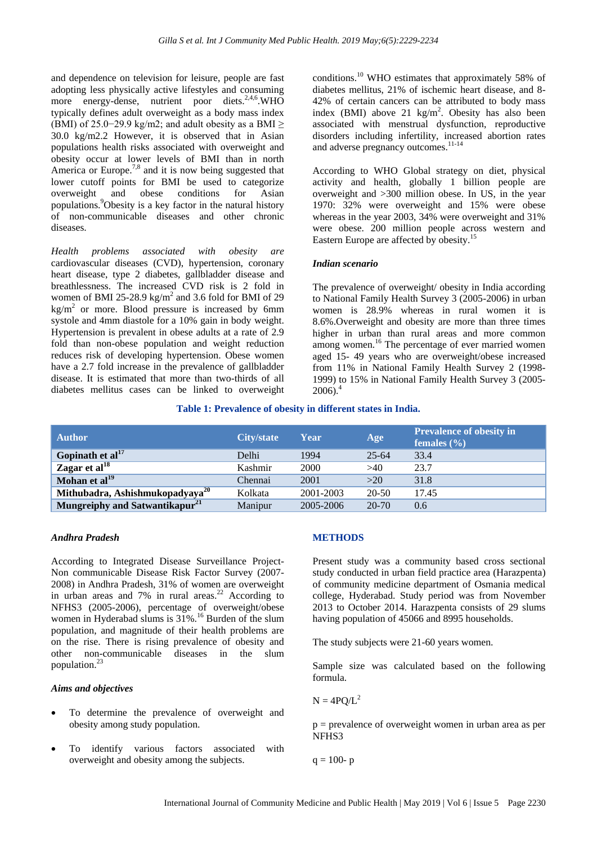and dependence on television for leisure, people are fast adopting less physically active lifestyles and consuming more energy-dense, nutrient poor diets.<sup>2,4,6</sup>.WHO typically defines adult overweight as a body mass index (BMI) of 25.0–29.9 kg/m2; and adult obesity as a BMI  $\geq$ 30.0 kg/m2.2 However, it is observed that in Asian populations health risks associated with overweight and obesity occur at lower levels of BMI than in north America or Europe.<sup>7,8</sup> and it is now being suggested that lower cutoff points for BMI be used to categorize overweight and obese conditions for Asian populations.<sup>9</sup>Obesity is a key factor in the natural history of non-communicable diseases and other chronic diseases.

*Health problems associated with obesity are*  cardiovascular diseases (CVD), hypertension, coronary heart disease, type 2 diabetes, gallbladder disease and breathlessness. The increased CVD risk is 2 fold in women of BMI 25-28.9  $\text{kg/m}^2$  and 3.6 fold for BMI of 29  $kg/m<sup>2</sup>$  or more. Blood pressure is increased by 6mm systole and 4mm diastole for a 10% gain in body weight. Hypertension is prevalent in obese adults at a rate of 2.9 fold than non-obese population and weight reduction reduces risk of developing hypertension. Obese women have a 2.7 fold increase in the prevalence of gallbladder disease. It is estimated that more than two-thirds of all diabetes mellitus cases can be linked to overweight conditions.<sup>10</sup> WHO estimates that approximately 58% of diabetes mellitus, 21% of ischemic heart disease, and 8- 42% of certain cancers can be attributed to body mass index (BMI) above 21  $\text{kg/m}^2$ . Obesity has also been associated with menstrual dysfunction, reproductive disorders including infertility, increased abortion rates and adverse pregnancy outcomes.<sup>11-14</sup>

According to WHO Global strategy on diet, physical activity and health, globally 1 billion people are overweight and >300 million obese. In US, in the year 1970: 32% were overweight and 15% were obese whereas in the year 2003, 34% were overweight and 31% were obese. 200 million people across western and Eastern Europe are affected by obesity.<sup>15</sup>

## *Indian scenario*

The prevalence of overweight/ obesity in India according to National Family Health Survey 3 (2005-2006) in urban women is 28.9% whereas in rural women it is 8.6%.Overweight and obesity are more than three times higher in urban than rural areas and more common among women.<sup>16</sup> The percentage of ever married women aged 15- 49 years who are overweight/obese increased from 11% in National Family Health Survey 2 (1998- 1999) to 15% in National Family Health Survey 3 (2005-  $2006$ ).<sup>4</sup>

## **Table 1: Prevalence of obesity in different states in India.**

| <b>Author</b>                               | City/state | Year      | Age       | <b>Prevalence of obesity in</b><br>females $(\% )$ |
|---------------------------------------------|------------|-----------|-----------|----------------------------------------------------|
| Gopinath et $al17$                          | Delhi      | 1994      | $25 - 64$ | 33.4                                               |
| Zagar et al $^{18}$                         | Kashmir    | 2000      | >40       | 23.7                                               |
| Mohan et al <sup>19</sup>                   | Chennai    | 2001      | >20       | 31.8                                               |
| Mithubadra, Ashishmukopadyaya <sup>20</sup> | Kolkata    | 2001-2003 | 20-50     | 17.45                                              |
| Mungreiphy and Satwantikapur <sup>21</sup>  | Manipur    | 2005-2006 | $20 - 70$ | 0.6                                                |

## *Andhra Pradesh*

According to Integrated Disease Surveillance Project-Non communicable Disease Risk Factor Survey (2007- 2008) in Andhra Pradesh, 31% of women are overweight in urban areas and  $7\%$  in rural areas.<sup>22</sup> According to NFHS3 (2005-2006), percentage of overweight/obese women in Hyderabad slums is 31%.<sup>16</sup> Burden of the slum population, and magnitude of their health problems are on the rise. There is rising prevalence of obesity and other non-communicable diseases in the slum population.<sup>23</sup>

## *Aims and objectives*

- To determine the prevalence of overweight and obesity among study population.
- To identify various factors associated with overweight and obesity among the subjects.

## **METHODS**

Present study was a community based cross sectional study conducted in urban field practice area (Harazpenta) of community medicine department of Osmania medical college, Hyderabad. Study period was from November 2013 to October 2014. Harazpenta consists of 29 slums having population of 45066 and 8995 households.

The study subjects were 21-60 years women.

Sample size was calculated based on the following formula.

$$
N = 4PQ/L^2
$$

 $p =$  prevalence of overweight women in urban area as per NFHS3

 $q = 100 - p$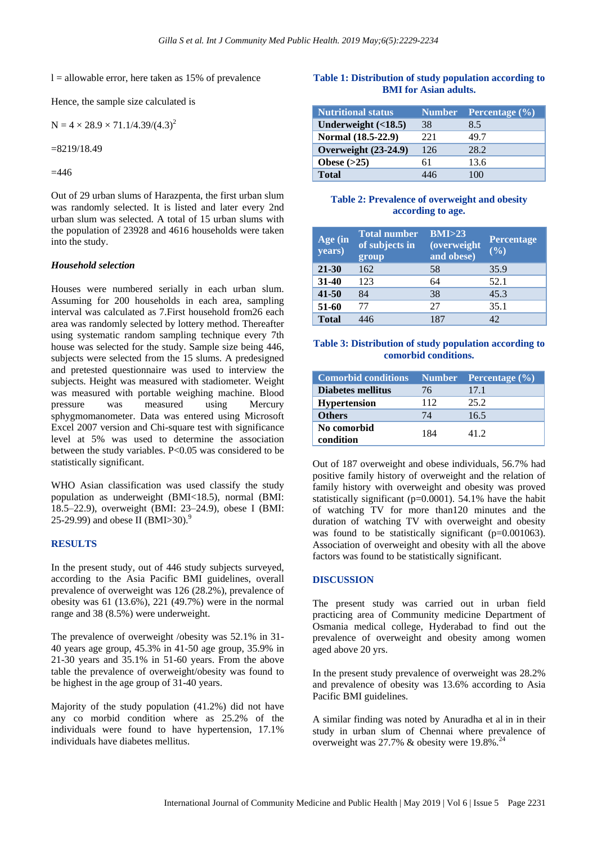$l =$  allowable error, here taken as 15% of prevalence

Hence, the sample size calculated is

$$
N = 4 \times 28.9 \times 71.1/4.39/(4.3)^2
$$

 $=8219/18.49$ 

 $=446$ 

Out of 29 urban slums of Harazpenta, the first urban slum was randomly selected. It is listed and later every 2nd urban slum was selected. A total of 15 urban slums with the population of 23928 and 4616 households were taken into the study.

#### *Household selection*

Houses were numbered serially in each urban slum. Assuming for 200 households in each area, sampling interval was calculated as 7.First household from26 each area was randomly selected by lottery method. Thereafter using systematic random sampling technique every 7th house was selected for the study. Sample size being 446, subjects were selected from the 15 slums. A predesigned and pretested questionnaire was used to interview the subjects. Height was measured with stadiometer. Weight was measured with portable weighing machine. Blood pressure was measured using Mercury sphygmomanometer. Data was entered using Microsoft Excel 2007 version and Chi-square test with significance level at 5% was used to determine the association between the study variables. P<0.05 was considered to be statistically significant.

WHO Asian classification was used classify the study population as underweight (BMI<18.5), normal (BMI: 18.5–22.9), overweight (BMI: 23–24.9), obese I (BMI: 25-29.99) and obese II (BMI>30).<sup>9</sup>

## **RESULTS**

In the present study, out of 446 study subjects surveyed, according to the Asia Pacific BMI guidelines, overall prevalence of overweight was 126 (28.2%), prevalence of obesity was 61 (13.6%), 221 (49.7%) were in the normal range and 38 (8.5%) were underweight.

The prevalence of overweight /obesity was 52.1% in 31- 40 years age group, 45.3% in 41-50 age group, 35.9% in 21-30 years and 35.1% in 51-60 years. From the above table the prevalence of overweight/obesity was found to be highest in the age group of 31-40 years.

Majority of the study population (41.2%) did not have any co morbid condition where as 25.2% of the individuals were found to have hypertension, 17.1% individuals have diabetes mellitus.

## **Table 1: Distribution of study population according to BMI for Asian adults.**

| <b>Nutritional status</b> | <b>Number</b> | <b>Percentage</b> $(\% )$ |
|---------------------------|---------------|---------------------------|
| Underweight $( < 18.5)$   | 38            | 8.5                       |
| Normal (18.5-22.9)        | 221           | 49.7                      |
| Overweight (23-24.9)      | 126           | 28.2                      |
| Obese $(>25)$             | 61            | 13.6                      |
| <b>Total</b>              | 446           |                           |

## **Table 2: Prevalence of overweight and obesity according to age.**

| Age (in)<br>years) | <b>Total number</b><br>of subjects in<br>group | BMI > 23<br>(overweight<br>and obese) | Percentage<br>(9/0) |  |
|--------------------|------------------------------------------------|---------------------------------------|---------------------|--|
| 21-30              | 162                                            | 58                                    | 35.9                |  |
| 31-40              | 123                                            | 64                                    | 52.1                |  |
| 41-50              | 84                                             | 38                                    | 45.3                |  |
| 51-60              | 77                                             | 27                                    | 35.1                |  |
| <b>Total</b>       | 446                                            | 187                                   | 42                  |  |

#### **Table 3: Distribution of study population according to comorbid conditions.**

| <b>Comorbid conditions</b> |     | <b>Number</b> Percentage (%) |
|----------------------------|-----|------------------------------|
| <b>Diabetes mellitus</b>   | 76  | 17.1                         |
| <b>Hypertension</b>        | 112 | 25.2                         |
| <b>Others</b>              | 74  | 16.5                         |
| No comorbid<br>condition   | 184 | 412                          |

Out of 187 overweight and obese individuals, 56.7% had positive family history of overweight and the relation of family history with overweight and obesity was proved statistically significant (p=0.0001). 54.1% have the habit of watching TV for more than120 minutes and the duration of watching TV with overweight and obesity was found to be statistically significant (p=0.001063). Association of overweight and obesity with all the above factors was found to be statistically significant.

#### **DISCUSSION**

The present study was carried out in urban field practicing area of Community medicine Department of Osmania medical college, Hyderabad to find out the prevalence of overweight and obesity among women aged above 20 yrs.

In the present study prevalence of overweight was 28.2% and prevalence of obesity was 13.6% according to Asia Pacific BMI guidelines.

A similar finding was noted by Anuradha et al in in their study in urban slum of Chennai where prevalence of overweight was 27.7%  $\&$  obesity were 19.8%.<sup>24</sup>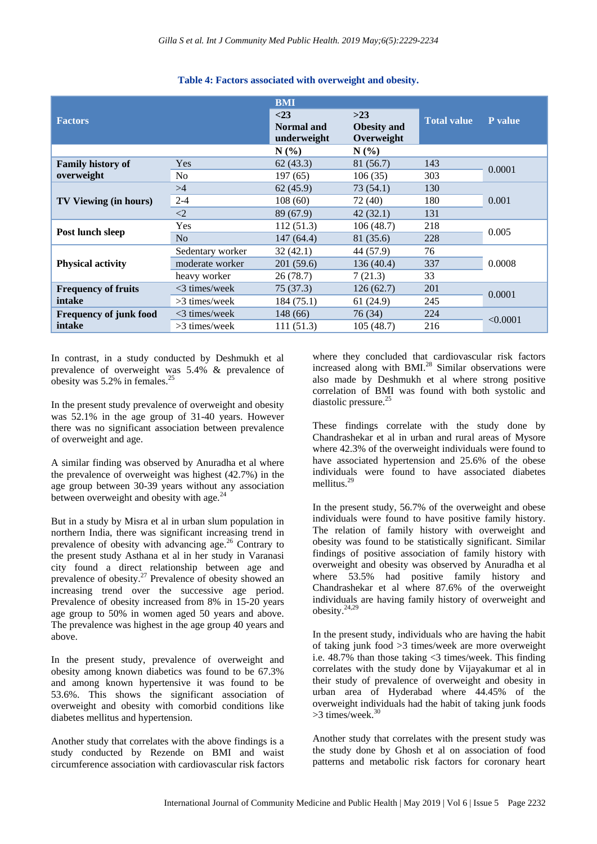| <b>Factors</b>                          |                  | <b>BMI</b><br>$<$ 23<br>Normal and<br>underweight | $>23$<br><b>Obesity and</b><br>Overweight | <b>Total value</b> | <b>P</b> value |
|-----------------------------------------|------------------|---------------------------------------------------|-------------------------------------------|--------------------|----------------|
|                                         |                  | $N(\%)$                                           | $N(\%)$                                   |                    |                |
| <b>Family history of</b><br>overweight  | <b>Yes</b>       | 62(43.3)                                          | 81 (56.7)                                 | 143                | 0.0001         |
|                                         | N <sub>o</sub>   | 197(65)                                           | 106(35)                                   | 303                |                |
| <b>TV Viewing (in hours)</b>            | >4               | 62(45.9)                                          | 73(54.1)                                  | 130                | 0.001          |
|                                         | $2 - 4$          | 108(60)                                           | 72 (40)                                   | 180                |                |
|                                         | $\leq$ 2         | 89 (67.9)                                         | 42(32.1)                                  | 131                |                |
| Post lunch sleep                        | Yes              | 112 (51.3)                                        | 106(48.7)                                 | 218                | 0.005          |
|                                         | N <sub>o</sub>   | 147 (64.4)                                        | 81 (35.6)                                 | 228                |                |
| <b>Physical activity</b>                | Sedentary worker | 32(42.1)                                          | 44 (57.9)                                 | 76                 | 0.0008         |
|                                         | moderate worker  | 201 (59.6)                                        | 136(40.4)                                 | 337                |                |
|                                         | heavy worker     | 26 (78.7)                                         | 7(21.3)                                   | 33                 |                |
| <b>Frequency of fruits</b><br>intake    | $<$ 3 times/week | 75 (37.3)                                         | 126(62.7)                                 | 201                | 0.0001         |
|                                         | $>3$ times/week  | 184 (75.1)                                        | 61(24.9)                                  | 245                |                |
| <b>Frequency of junk food</b><br>intake | $<$ 3 times/week | 148(66)                                           | 76 (34)                                   | 224                | < 0.0001       |
|                                         | $>3$ times/week  | 111(51.3)                                         | 105(48.7)                                 | 216                |                |

## **Table 4: Factors associated with overweight and obesity.**

In contrast, in a study conducted by Deshmukh et al prevalence of overweight was 5.4% & prevalence of obesity was  $5.2\%$  in females.<sup>25</sup>

In the present study prevalence of overweight and obesity was 52.1% in the age group of 31-40 years. However there was no significant association between prevalence of overweight and age.

A similar finding was observed by Anuradha et al where the prevalence of overweight was highest (42.7%) in the age group between 30-39 years without any association between overweight and obesity with age. $^{24}$ 

But in a study by Misra et al in urban slum population in northern India, there was significant increasing trend in prevalence of obesity with advancing age.<sup>26</sup> Contrary to the present study Asthana et al in her study in Varanasi city found a direct relationship between age and prevalence of obesity.<sup>27</sup> Prevalence of obesity showed an increasing trend over the successive age period. Prevalence of obesity increased from 8% in 15-20 years age group to 50% in women aged 50 years and above. The prevalence was highest in the age group 40 years and above.

In the present study, prevalence of overweight and obesity among known diabetics was found to be 67.3% and among known hypertensive it was found to be 53.6%. This shows the significant association of overweight and obesity with comorbid conditions like diabetes mellitus and hypertension.

Another study that correlates with the above findings is a study conducted by Rezende on BMI and waist circumference association with cardiovascular risk factors where they concluded that cardiovascular risk factors increased along with BMI.<sup>28</sup> Similar observations were also made by Deshmukh et al where strong positive correlation of BMI was found with both systolic and diastolic pressure.<sup>25</sup>

These findings correlate with the study done by Chandrashekar et al in urban and rural areas of Mysore where 42.3% of the overweight individuals were found to have associated hypertension and 25.6% of the obese individuals were found to have associated diabetes mellitus.<sup>29</sup>

In the present study, 56.7% of the overweight and obese individuals were found to have positive family history. The relation of family history with overweight and obesity was found to be statistically significant. Similar findings of positive association of family history with overweight and obesity was observed by Anuradha et al where 53.5% had positive family history and Chandrashekar et al where 87.6% of the overweight individuals are having family history of overweight and obesity.24,29

In the present study, individuals who are having the habit of taking junk food >3 times/week are more overweight i.e. 48.7% than those taking <3 times/week. This finding correlates with the study done by Vijayakumar et al in their study of prevalence of overweight and obesity in urban area of Hyderabad where 44.45% of the overweight individuals had the habit of taking junk foods  $>3$  times/week.<sup>3</sup>

Another study that correlates with the present study was the study done by Ghosh et al on association of food patterns and metabolic risk factors for coronary heart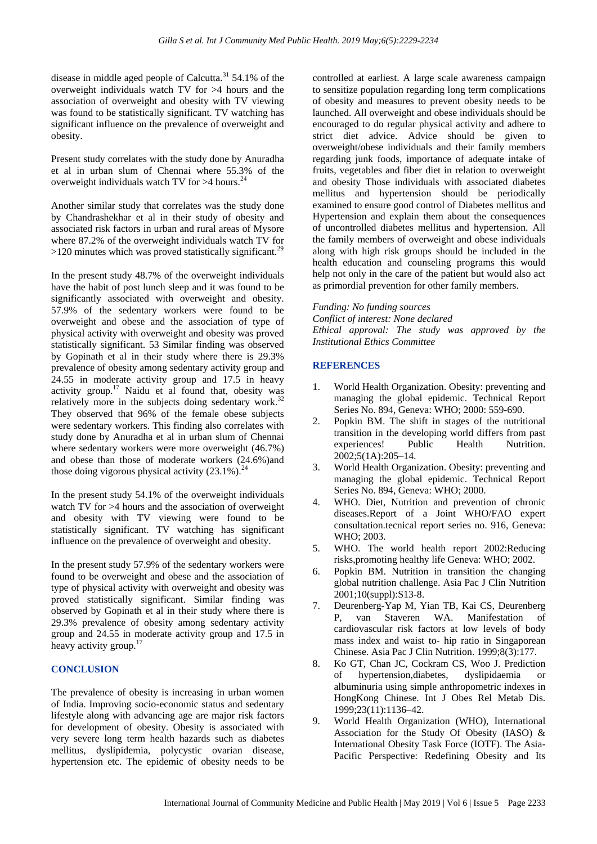disease in middle aged people of Calcutta.<sup>31</sup> 54.1% of the overweight individuals watch TV for >4 hours and the association of overweight and obesity with TV viewing was found to be statistically significant. TV watching has significant influence on the prevalence of overweight and obesity.

Present study correlates with the study done by Anuradha et al in urban slum of Chennai where 55.3% of the overweight individuals watch TV for  $>4$  hours.<sup>24</sup>

Another similar study that correlates was the study done by Chandrashekhar et al in their study of obesity and associated risk factors in urban and rural areas of Mysore where 87.2% of the overweight individuals watch TV for  $>120$  minutes which was proved statistically significant.<sup>29</sup>

In the present study 48.7% of the overweight individuals have the habit of post lunch sleep and it was found to be significantly associated with overweight and obesity. 57.9% of the sedentary workers were found to be overweight and obese and the association of type of physical activity with overweight and obesity was proved statistically significant. 53 Similar finding was observed by Gopinath et al in their study where there is 29.3% prevalence of obesity among sedentary activity group and 24.55 in moderate activity group and 17.5 in heavy activity group.<sup>17</sup> Naidu et al found that, obesity was relatively more in the subjects doing sedentary work.<sup>32</sup> They observed that 96% of the female obese subjects were sedentary workers. This finding also correlates with study done by Anuradha et al in urban slum of Chennai where sedentary workers were more overweight (46.7%) and obese than those of moderate workers (24.6%)and those doing vigorous physical activity  $(23.1\%)$ .<sup>24</sup>

In the present study 54.1% of the overweight individuals watch TV for  $>4$  hours and the association of overweight and obesity with TV viewing were found to be statistically significant. TV watching has significant influence on the prevalence of overweight and obesity.

In the present study 57.9% of the sedentary workers were found to be overweight and obese and the association of type of physical activity with overweight and obesity was proved statistically significant. Similar finding was observed by Gopinath et al in their study where there is 29.3% prevalence of obesity among sedentary activity group and 24.55 in moderate activity group and 17.5 in heavy activity group.<sup>17</sup>

## **CONCLUSION**

The prevalence of obesity is increasing in urban women of India. Improving socio-economic status and sedentary lifestyle along with advancing age are major risk factors for development of obesity. Obesity is associated with very severe long term health hazards such as diabetes mellitus, dyslipidemia, polycystic ovarian disease, hypertension etc. The epidemic of obesity needs to be controlled at earliest. A large scale awareness campaign to sensitize population regarding long term complications of obesity and measures to prevent obesity needs to be launched. All overweight and obese individuals should be encouraged to do regular physical activity and adhere to strict diet advice. Advice should be given to overweight/obese individuals and their family members regarding junk foods, importance of adequate intake of fruits, vegetables and fiber diet in relation to overweight and obesity Those individuals with associated diabetes mellitus and hypertension should be periodically examined to ensure good control of Diabetes mellitus and Hypertension and explain them about the consequences of uncontrolled diabetes mellitus and hypertension. All the family members of overweight and obese individuals along with high risk groups should be included in the health education and counseling programs this would help not only in the care of the patient but would also act as primordial prevention for other family members.

*Funding: No funding sources Conflict of interest: None declared Ethical approval: The study was approved by the Institutional Ethics Committee*

## **REFERENCES**

- 1. World Health Organization. Obesity: preventing and managing the global epidemic. Technical Report Series No. 894, Geneva: WHO; 2000: 559-690.
- 2. Popkin BM. The shift in stages of the nutritional transition in the developing world differs from past experiences! Public Health Nutrition. 2002;5(1A):205–14.
- 3. World Health Organization. Obesity: preventing and managing the global epidemic. Technical Report Series No. 894, Geneva: WHO; 2000.
- 4. WHO. Diet, Nutrition and prevention of chronic diseases.Report of a Joint WHO/FAO expert consultation.tecnical report series no. 916, Geneva: WHO; 2003.
- 5. WHO. The world health report 2002:Reducing risks,promoting healthy life Geneva: WHO; 2002.
- 6. Popkin BM. Nutrition in transition the changing global nutrition challenge. Asia Pac J Clin Nutrition 2001;10(suppl):S13-8.
- 7. Deurenberg-Yap M, Yian TB, Kai CS, Deurenberg P, van Staveren WA. Manifestation of cardiovascular risk factors at low levels of body mass index and waist to- hip ratio in Singaporean Chinese. Asia Pac J Clin Nutrition. 1999;8(3):177.
- 8. Ko GT, Chan JC, Cockram CS, Woo J. Prediction of hypertension,diabetes, dyslipidaemia or albuminuria using simple anthropometric indexes in HongKong Chinese. Int J Obes Rel Metab Dis. 1999;23(11):1136–42.
- 9. World Health Organization (WHO), International Association for the Study Of Obesity (IASO) & International Obesity Task Force (IOTF). The Asia-Pacific Perspective: Redefining Obesity and Its